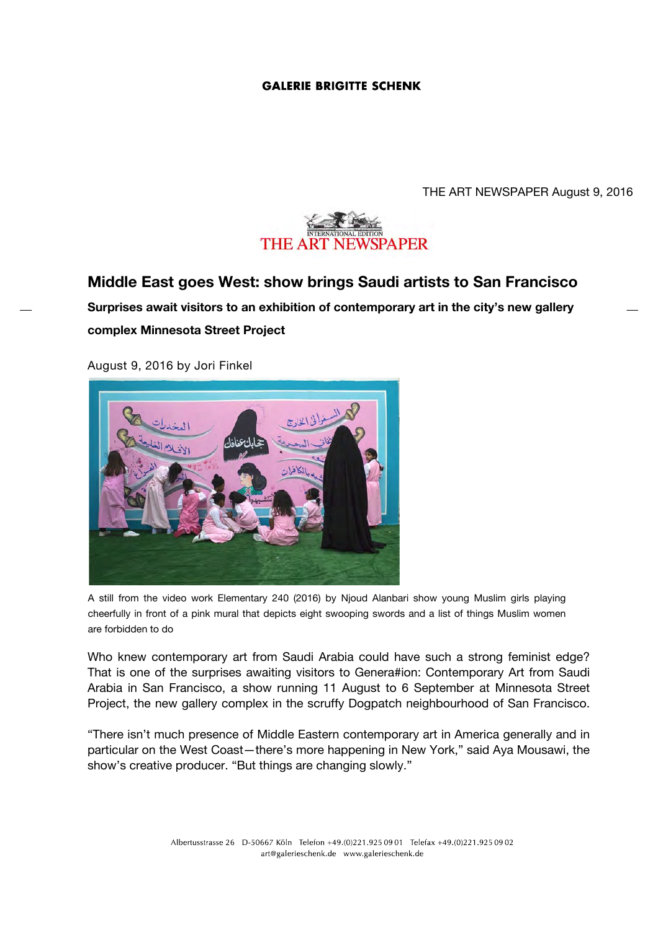## **GALERIE BRIGITTE SCHENK**

THE ART NEWSPAPER August 9, 2016



## **Middle East goes West: show brings Saudi artists to San Francisco**

**Surprises await visitors to an exhibition of contemporary art in the city's new gallery complex Minnesota Street Project**

August 9, 2016 by Jori Finkel



A still from the video work Elementary 240 (2016) by Njoud Alanbari show young Muslim girls playing cheerfully in front of a pink mural that depicts eight swooping swords and a list of things Muslim women are forbidden to do

Who knew contemporary art from Saudi Arabia could have such a strong feminist edge? That is one of the surprises awaiting visitors to Genera#ion: Contemporary Art from Saudi Arabia in San Francisco, a show running 11 August to 6 September at Minnesota Street Project, the new gallery complex in the scruffy Dogpatch neighbourhood of San Francisco.

"There isn't much presence of Middle Eastern contemporary art in America generally and in particular on the West Coast—there's more happening in New York," said Aya Mousawi, the show's creative producer. "But things are changing slowly."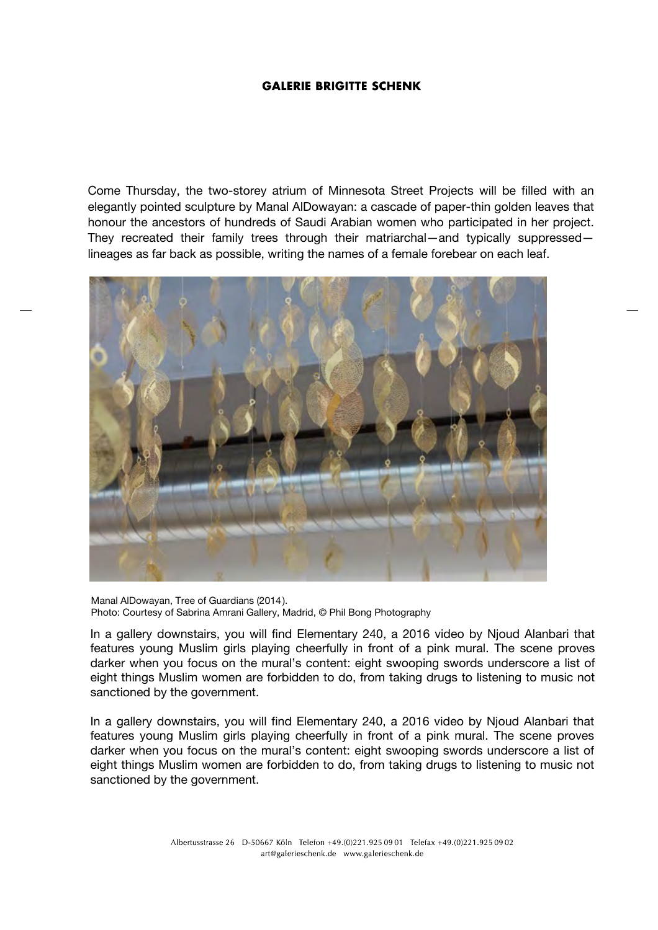## **GALERIE BRIGITTE SCHENK**

Come Thursday, the two-storey atrium of Minnesota Street Projects will be filled with an elegantly pointed sculpture by Manal AlDowayan: a cascade of paper-thin golden leaves that honour the ancestors of hundreds of Saudi Arabian women who participated in her project. They recreated their family trees through their matriarchal—and typically suppressed lineages as far back as possible, writing the names of a female forebear on each leaf.



Manal AlDowayan, Tree of Guardians (2014 ). Photo: Courtesy of Sabrina Amrani Gallery, Madrid, © Phil Bong Photography

In a gallery downstairs, you will find Elementary 240, a 2016 video by Njoud Alanbari that features young Muslim girls playing cheerfully in front of a pink mural. The scene proves darker when you focus on the mural's content: eight swooping swords underscore a list of eight things Muslim women are forbidden to do, from taking drugs to listening to music not sanctioned by the government.

In a gallery downstairs, you will find Elementary 240, a 2016 video by Njoud Alanbari that features young Muslim girls playing cheerfully in front of a pink mural. The scene proves darker when you focus on the mural's content: eight swooping swords underscore a list of eight things Muslim women are forbidden to do, from taking drugs to listening to music not sanctioned by the government.